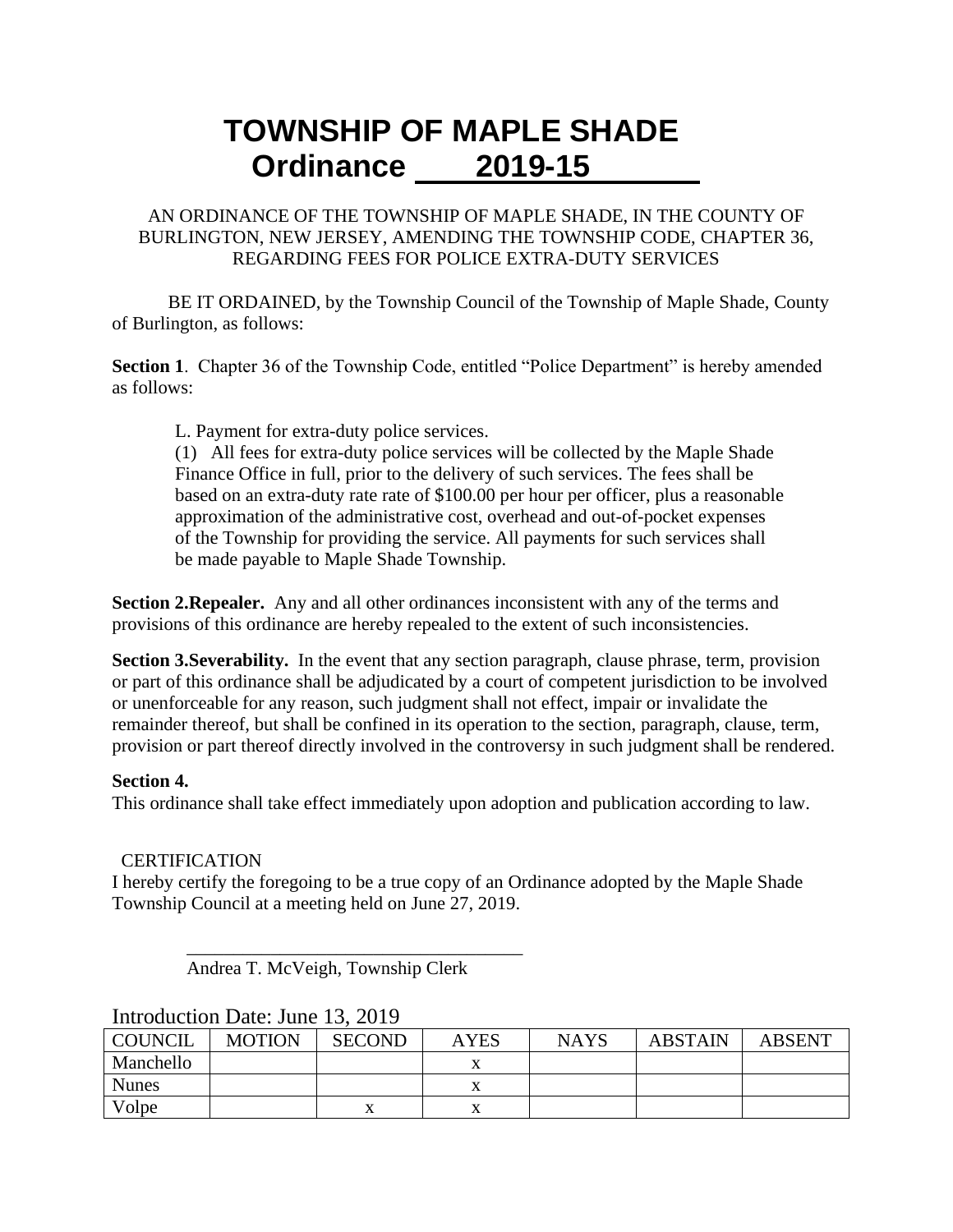# **TOWNSHIP OF MAPLE SHADE Ordinance 2019-15**

### AN ORDINANCE OF THE TOWNSHIP OF MAPLE SHADE, IN THE COUNTY OF BURLINGTON, NEW JERSEY, AMENDING THE TOWNSHIP CODE, CHAPTER 36, REGARDING FEES FOR POLICE EXTRA-DUTY SERVICES

BE IT ORDAINED, by the Township Council of the Township of Maple Shade, County of Burlington, as follows:

**Section 1.** Chapter 36 of the Township Code, entitled "Police Department" is hereby amended as follows:

L. Payment for extra-duty police services.

(1) All fees for extra-duty police services will be collected by the Maple Shade Finance Office in full, prior to the delivery of such services. The fees shall be based on an extra-duty rate rate of \$100.00 per hour per officer, plus a reasonable approximation of the administrative cost, overhead and out-of-pocket expenses of the Township for providing the service. All payments for such services shall be made payable to Maple Shade Township.

**Section 2.Repealer.** Any and all other ordinances inconsistent with any of the terms and provisions of this ordinance are hereby repealed to the extent of such inconsistencies.

**Section 3. Severability.** In the event that any section paragraph, clause phrase, term, provision or part of this ordinance shall be adjudicated by a court of competent jurisdiction to be involved or unenforceable for any reason, such judgment shall not effect, impair or invalidate the remainder thereof, but shall be confined in its operation to the section, paragraph, clause, term, provision or part thereof directly involved in the controversy in such judgment shall be rendered.

#### **Section 4.**

This ordinance shall take effect immediately upon adoption and publication according to law.

### **CERTIFICATION**

I hereby certify the foregoing to be a true copy of an Ordinance adopted by the Maple Shade Township Council at a meeting held on June 27, 2019.

 $\overline{\phantom{a}}$  , which is the set of the set of the set of the set of the set of the set of the set of the set of the set of the set of the set of the set of the set of the set of the set of the set of the set of the set of Andrea T. McVeigh, Township Clerk

| mu ouuvuon Dale, sano 19, 2017 |               |               |             |             |                |               |  |  |
|--------------------------------|---------------|---------------|-------------|-------------|----------------|---------------|--|--|
| <b>COUNCIL</b>                 | <b>MOTION</b> | <b>SECOND</b> | <b>AYES</b> | <b>NAYS</b> | <b>ABSTAIN</b> | <b>ABSENT</b> |  |  |
| Manchello                      |               |               |             |             |                |               |  |  |
| <b>Nunes</b>                   |               |               |             |             |                |               |  |  |
| Volpe                          |               |               |             |             |                |               |  |  |

## Introduction Date: June 13, 2019